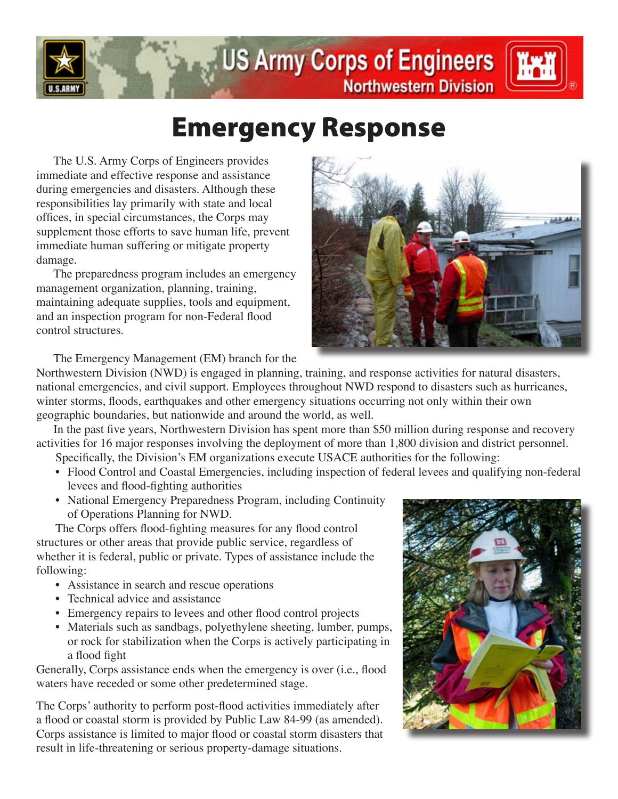

## **US Army Corps of Engineers Northwestern Division**



## Emergency Response

 The U.S. Army Corps of Engineers provides immediate and effective response and assistance during emergencies and disasters. Although these responsibilities lay primarily with state and local offices, in special circumstances, the Corps may supplement those efforts to save human life, prevent immediate human suffering or mitigate property damage.

 The preparedness program includes an emergency management organization, planning, training, maintaining adequate supplies, tools and equipment, and an inspection program for non-Federal flood control structures.



 The Emergency Management (EM) branch for the

Northwestern Division (NWD) is engaged in planning, training, and response activities for natural disasters, national emergencies, and civil support. Employees throughout NWD respond to disasters such as hurricanes, winter storms, floods, earthquakes and other emergency situations occurring not only within their own geographic boundaries, but nationwide and around the world, as well.

In the past five years, Northwestern Division has spent more than \$50 million during response and recovery activities for 16 major responses involving the deployment of more than 1,800 division and district personnel.

Specifically, the Division's EM organizations execute USACE authorities for the following:

- Flood Control and Coastal Emergencies, including inspection of federal levees and qualifying non-federal levees and flood-fighting authorities
- National Emergency Preparedness Program, including Continuity of Operations Planning for NWD.

The Corps offers flood-fighting measures for any flood control structures or other areas that provide public service, regardless of whether it is federal, public or private. Types of assistance include the following:

- Assistance in search and rescue operations
- Technical advice and assistance
- Emergency repairs to levees and other flood control projects
- Materials such as sandbags, polyethylene sheeting, lumber, pumps, or rock for stabilization when the Corps is actively participating in a flood fight

Generally, Corps assistance ends when the emergency is over (i.e., flood waters have receded or some other predetermined stage.

The Corps' authority to perform post-flood activities immediately after a flood or coastal storm is provided by Public Law 84-99 (as amended). Corps assistance is limited to major flood or coastal storm disasters that result in life-threatening or serious property-damage situations.